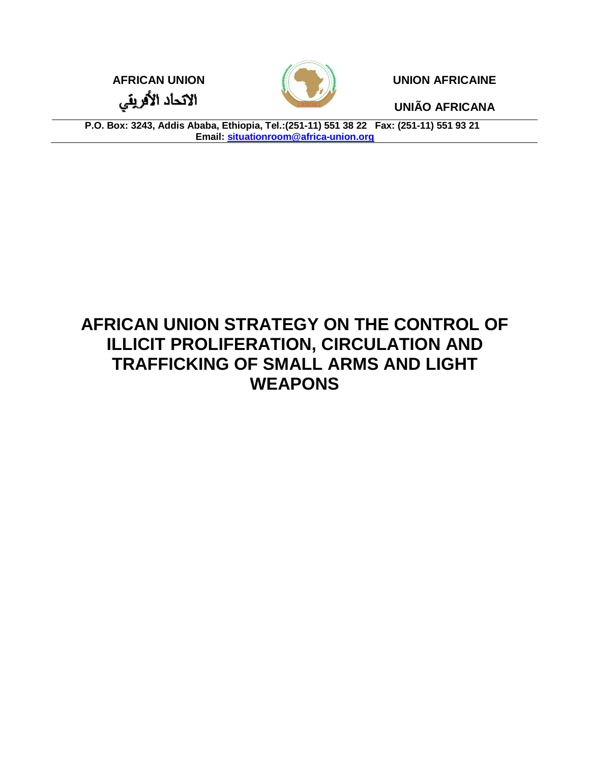**AFRICAN UNION UNION AFRICAINE**

**UNIÃO AFRICANA**

الاتحاد الأفريقي



**P.O. Box: 3243, Addis Ababa, Ethiopia, Tel.:(251-11) 551 38 22 Fax: (251-11) 551 93 21 Email: situationroom@africa-union.org**

# **AFRICAN UNION STRATEGY ON THE CONTROL OF ILLICIT PROLIFERATION, CIRCULATION AND TRAFFICKING OF SMALL ARMS AND LIGHT WEAPONS**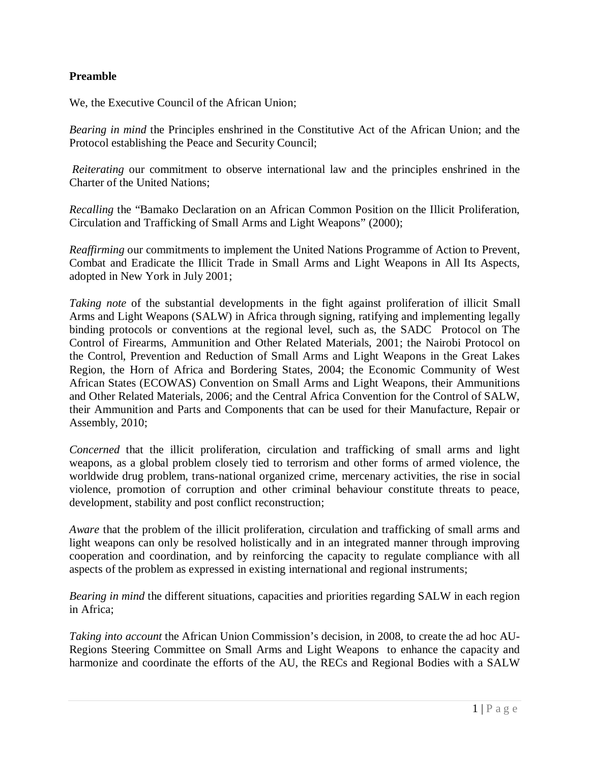#### **Preamble**

We, the Executive Council of the African Union;

*Bearing in mind* the Principles enshrined in the Constitutive Act of the African Union; and the Protocol establishing the Peace and Security Council;

*Reiterating* our commitment to observe international law and the principles enshrined in the Charter of the United Nations;

*Recalling* the "Bamako Declaration on an African Common Position on the Illicit Proliferation, Circulation and Trafficking of Small Arms and Light Weapons" (2000);

*Reaffirming* our commitments to implement the United Nations Programme of Action to Prevent, Combat and Eradicate the Illicit Trade in Small Arms and Light Weapons in All Its Aspects, adopted in New York in July 2001;

*Taking note* of the substantial developments in the fight against proliferation of illicit Small Arms and Light Weapons (SALW) in Africa through signing, ratifying and implementing legally binding protocols or conventions at the regional level, such as, the SADC Protocol on The Control of Firearms, Ammunition and Other Related Materials, 2001; the Nairobi Protocol on the Control, Prevention and Reduction of Small Arms and Light Weapons in the Great Lakes Region, the Horn of Africa and Bordering States, 2004; the Economic Community of West African States (ECOWAS) Convention on Small Arms and Light Weapons, their Ammunitions and Other Related Materials, 2006; and the Central Africa Convention for the Control of SALW, their Ammunition and Parts and Components that can be used for their Manufacture, Repair or Assembly, 2010;

*Concerned* that the illicit proliferation, circulation and trafficking of small arms and light weapons, as a global problem closely tied to terrorism and other forms of armed violence, the worldwide drug problem, trans-national organized crime, mercenary activities, the rise in social violence, promotion of corruption and other criminal behaviour constitute threats to peace, development, stability and post conflict reconstruction;

*Aware* that the problem of the illicit proliferation, circulation and trafficking of small arms and light weapons can only be resolved holistically and in an integrated manner through improving cooperation and coordination, and by reinforcing the capacity to regulate compliance with all aspects of the problem as expressed in existing international and regional instruments;

*Bearing in mind* the different situations, capacities and priorities regarding SALW in each region in Africa;

*Taking into account* the African Union Commission's decision, in 2008, to create the ad hoc AU-Regions Steering Committee on Small Arms and Light Weapons to enhance the capacity and harmonize and coordinate the efforts of the AU, the RECs and Regional Bodies with a SALW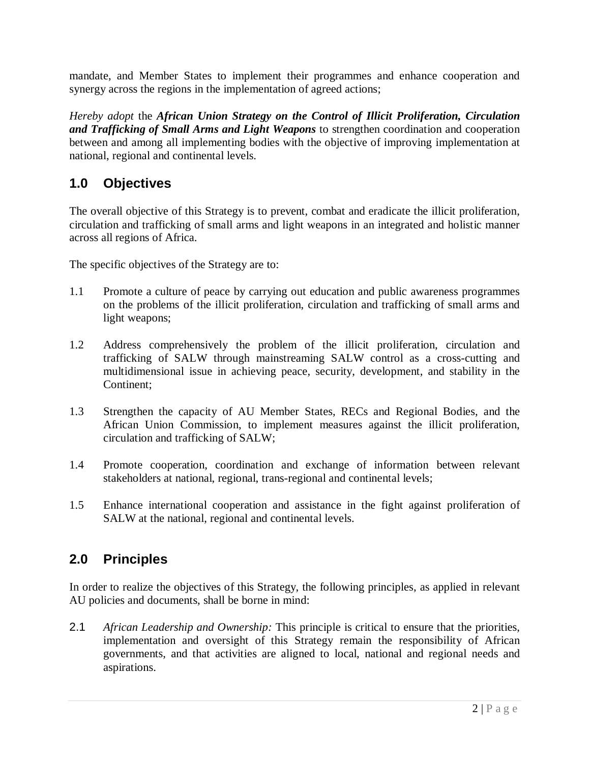mandate, and Member States to implement their programmes and enhance cooperation and synergy across the regions in the implementation of agreed actions;

*Hereby adopt* the *African Union Strategy on the Control of Illicit Proliferation, Circulation and Trafficking of Small Arms and Light Weapons* to strengthen coordination and cooperation between and among all implementing bodies with the objective of improving implementation at national, regional and continental levels.

## **1.0 Objectives**

The overall objective of this Strategy is to prevent, combat and eradicate the illicit proliferation, circulation and trafficking of small arms and light weapons in an integrated and holistic manner across all regions of Africa.

The specific objectives of the Strategy are to:

- 1.1 Promote a culture of peace by carrying out education and public awareness programmes on the problems of the illicit proliferation, circulation and trafficking of small arms and light weapons;
- 1.2 Address comprehensively the problem of the illicit proliferation, circulation and trafficking of SALW through mainstreaming SALW control as a cross-cutting and multidimensional issue in achieving peace, security, development, and stability in the Continent;
- 1.3 Strengthen the capacity of AU Member States, RECs and Regional Bodies, and the African Union Commission, to implement measures against the illicit proliferation, circulation and trafficking of SALW;
- 1.4 Promote cooperation, coordination and exchange of information between relevant stakeholders at national, regional, trans-regional and continental levels;
- 1.5 Enhance international cooperation and assistance in the fight against proliferation of SALW at the national, regional and continental levels.

### **2.0 Principles**

In order to realize the objectives of this Strategy, the following principles, as applied in relevant AU policies and documents, shall be borne in mind:

2.1 *African Leadership and Ownership:* This principle is critical to ensure that the priorities, implementation and oversight of this Strategy remain the responsibility of African governments, and that activities are aligned to local, national and regional needs and aspirations.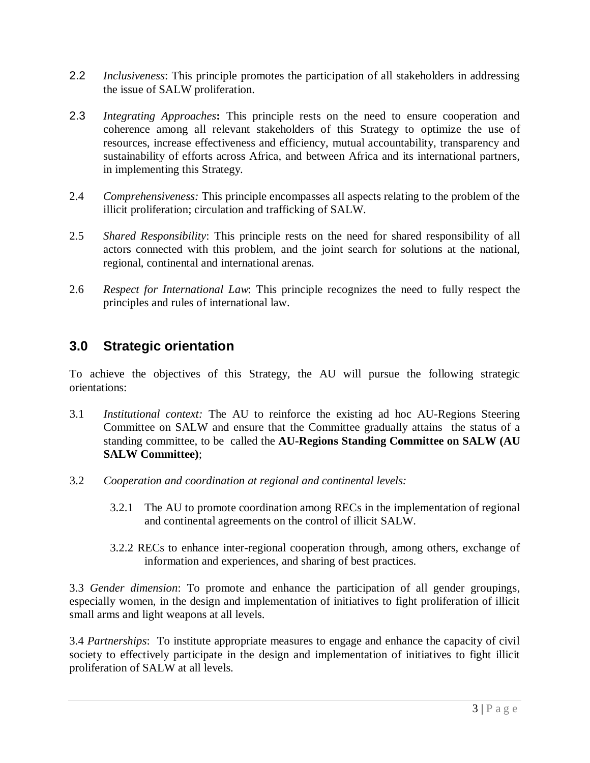- 2.2 *Inclusiveness*: This principle promotes the participation of all stakeholders in addressing the issue of SALW proliferation.
- 2.3 *Integrating Approaches***:** This principle rests on the need to ensure cooperation and coherence among all relevant stakeholders of this Strategy to optimize the use of resources, increase effectiveness and efficiency, mutual accountability, transparency and sustainability of efforts across Africa, and between Africa and its international partners, in implementing this Strategy.
- 2.4 *Comprehensiveness:* This principle encompasses all aspects relating to the problem of the illicit proliferation; circulation and trafficking of SALW.
- 2.5 *Shared Responsibility*: This principle rests on the need for shared responsibility of all actors connected with this problem, and the joint search for solutions at the national, regional, continental and international arenas.
- 2.6 *Respect for International Law*: This principle recognizes the need to fully respect the principles and rules of international law.

#### **3.0 Strategic orientation**

To achieve the objectives of this Strategy, the AU will pursue the following strategic orientations:

- 3.1 *Institutional context:* The AU to reinforce the existing ad hoc AU-Regions Steering Committee on SALW and ensure that the Committee gradually attains the status of a standing committee, to be called the **AU-Regions Standing Committee on SALW (AU SALW Committee)**;
- 3.2 *Cooperation and coordination at regional and continental levels:*
	- 3.2.1 The AU to promote coordination among RECs in the implementation of regional and continental agreements on the control of illicit SALW.
	- 3.2.2 RECs to enhance inter-regional cooperation through, among others, exchange of information and experiences, and sharing of best practices.

3.3 *Gender dimension*: To promote and enhance the participation of all gender groupings, especially women, in the design and implementation of initiatives to fight proliferation of illicit small arms and light weapons at all levels.

3.4 *Partnerships*: To institute appropriate measures to engage and enhance the capacity of civil society to effectively participate in the design and implementation of initiatives to fight illicit proliferation of SALW at all levels.